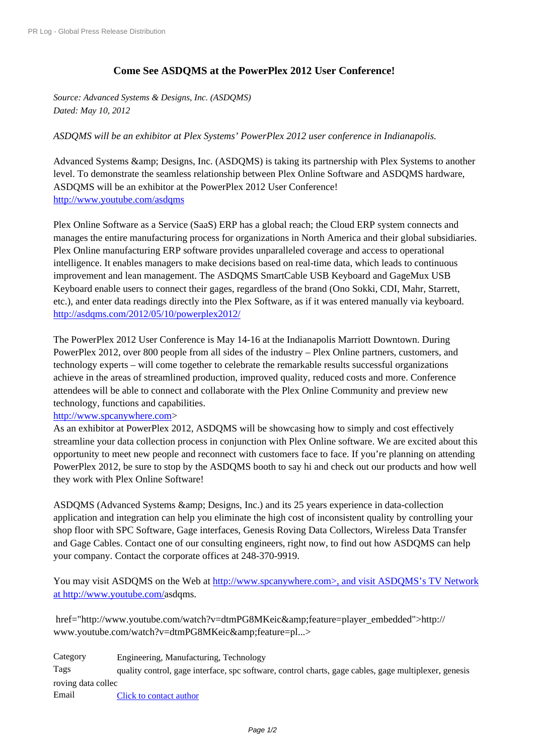## **[Come See A](http://www.prlog.org/)SDQMS at the PowerPlex 2012 User Conference!**

*Source: Advanced Systems & Designs, Inc. (ASDQMS) Dated: May 10, 2012*

*ASDQMS will be an exhibitor at Plex Systems' PowerPlex 2012 user conference in Indianapolis.*

Advanced Systems & amp; Designs, Inc. (ASDOMS) is taking its partnership with Plex Systems to another level. To demonstrate the seamless relationship between Plex Online Software and ASDQMS hardware, ASDQMS will be an exhibitor at the PowerPlex 2012 User Conference! http://www.youtube.com/asdqms

Plex Online Software as a Service (SaaS) ERP has a global reach; the Cloud ERP system connects and manages the entire manufacturing process for organizations in North America and their global subsidiaries. [Plex Online manufacturing ERP s](http://www.youtube.com/asdqms)oftware provides unparalleled coverage and access to operational [intel](http://www.prlog.org/11872102.html)ligence. It enables managers to make decisions based on real-time data, which leads to continuous improvement and lean management. The ASDQMS SmartCable USB Keyboard and GageMux USB Keyboard enable users to connect their gages, regardless of the brand (Ono Sokki, CDI, Mahr, Starrett, etc.), and enter data readings directly into the Plex Software, as if it was entered manually via keyboard. http://asdqms.com/2012/05/10/powerplex2012/

The PowerPlex 2012 User Conference is May 14-16 at the Indianapolis Marriott Downtown. During PowerPlex 2012, over 800 people from all sides of the industry – Plex Online partners, customers, and [technology experts – will come together to cele](http://asdqms.com/2012/05/10/powerplex2012/)[b](http://www.prlog.org/11872102.html)rate the remarkable results successful organizations achieve in the areas of streamlined production, improved quality, reduced costs and more. Conference [atten](http://www.prlog.org/11872102.html)dees will be able to connect and collaborate with the Plex Online Community and preview new technology, functions and capabilities.

## http://www.spcanywhere.com>

As an exhibitor at PowerPlex 2012, ASDQMS will be showcasing how to simply and cost effectively streamline your data collection process in conjunction with Plex Online software. We are excited about this opportunity to meet new people and reconnect with customers face to face. If you're planning on attending [PowerPlex 2012, be sure to stop by the ASDQMS booth to say hi and check out our products and how](http://www.prlog.org/11872102.html) well [they work with Plex Online Software!](http://www.prlog.org/11872102.html) 

ASDOMS (Advanced Systems & amp; Designs, Inc.) and its 25 years experience in data-collection [application and integration can help you eliminate the high cost of inconsistent quality by controlling your](http://www.prlog.org/11872102.html) [shop floor with SPC Software, Gage in](http://www.prlog.org/11872102.html)terfaces, Genesis Roving Data Collectors, Wireless Data Transfer [and Gage Cables. Contact one of our consulting engineers, right now, to find out how ASDQMS ca](http://www.prlog.org/11872102.html)n help [your company. Contact the corporate offices at 248-370-9919.](http://www.prlog.org/11872102.html)

[You may visit ASDQMS on the Web at http://www.spcanywhere.com>, and visit ASDQMS's TV Networ](http://www.prlog.org/11872102.html)k [at http://www.youtube.com/asdqms.](http://www.prlog.org/11872102.html) 

href="http://www.youtube.com/watch?[v=dtmPG8MKeic&feature=player\\_embedded">http://](http://www.spcanywhere.com/) [w](http://www.spcanywhere.com/)[ww.youtube.com/watch?v](http://www.youtube.com/)[=dtmPG8](http://www.prlog.org/11872102.html)MKeic&feature=pl...>

Category Engineering, Manufacturing, Technology Tags [quality control, gage interface, spc software, control charts, gage cables, gage multiplexer, g](http://www.prlog.org/11872102.html)enesis roving data collec Email [Click to contact author](http://www.prlog.org/11872102.html)